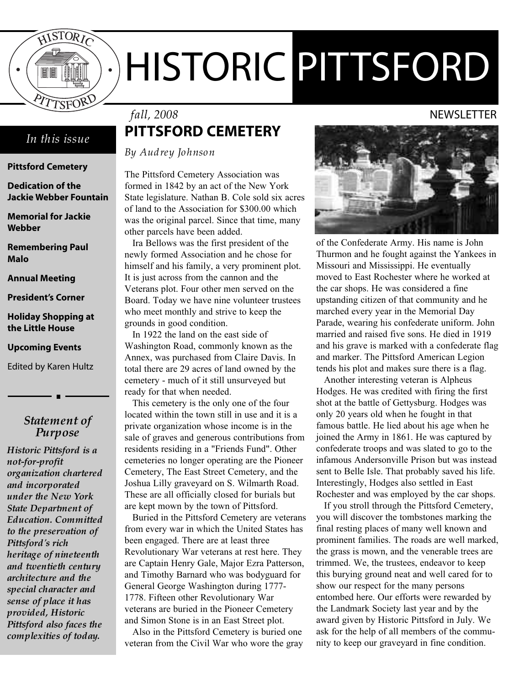

# HISTORIC PITTSFORD

### *In this issue*

### **Pittsford Cemetery**

**Dedication of the Jackie Webber Fountain**

**Memorial for Jackie Webber**

**Remembering Paul Malo**

**Annual Meeting**

**President's Corner**

### **Holiday Shopping at the Little House**

### **Upcoming Events**

Edited by Karen Hultz

### *Statement of Purpose*

*Historic Pittsford is a not-for-profit organization chartered and incorporated under the New York State Department of Education. Committed to the preservation of Pittsford's rich heritage of nineteenth and twentieth century architecture and the special character and sense of place it has provided, Historic Pittsford also faces the complexities of today.*

# **PITTSFORD CEMETERY** *fall, 2008* NEWSLETTER

*By Audrey Johnson*

The Pittsford Cemetery Association was formed in 1842 by an act of the New York State legislature. Nathan B. Cole sold six acres of land to the Association for \$300.00 which was the original parcel. Since that time, many other parcels have been added.

Ira Bellows was the first president of the newly formed Association and he chose for himself and his family, a very prominent plot. It is just across from the cannon and the Veterans plot. Four other men served on the Board. Today we have nine volunteer trustees who meet monthly and strive to keep the grounds in good condition.

In 1922 the land on the east side of Washington Road, commonly known as the Annex, was purchased from Claire Davis. In total there are 29 acres of land owned by the cemetery - much of it still unsurveyed but ready for that when needed.

This cemetery is the only one of the four located within the town still in use and it is a private organization whose income is in the sale of graves and generous contributions from residents residing in a "Friends Fund". Other cemeteries no longer operating are the Pioneer Cemetery, The East Street Cemetery, and the Joshua Lilly graveyard on S. Wilmarth Road. These are all officially closed for burials but are kept mown by the town of Pittsford.

Buried in the Pittsford Cemetery are veterans from every war in which the United States has been engaged. There are at least three Revolutionary War veterans at rest here. They are Captain Henry Gale, Major Ezra Patterson, and Timothy Barnard who was bodyguard for General George Washington during 1777- 1778. Fifteen other Revolutionary War veterans are buried in the Pioneer Cemetery and Simon Stone is in an East Street plot.

Also in the Pittsford Cemetery is buried one veteran from the Civil War who wore the gray

of the Confederate Army. His name is John Thurmon and he fought against the Yankees in Missouri and Mississippi. He eventually moved to East Rochester where he worked at the car shops. He was considered a fine upstanding citizen of that community and he marched every year in the Memorial Day Parade, wearing his confederate uniform. John married and raised five sons. He died in 1919 and his grave is marked with a confederate flag and marker. The Pittsford American Legion tends his plot and makes sure there is a flag.

Another interesting veteran is Alpheus Hodges. He was credited with firing the first shot at the battle of Gettysburg. Hodges was only 20 years old when he fought in that famous battle. He lied about his age when he joined the Army in 1861. He was captured by confederate troops and was slated to go to the infamous Andersonville Prison but was instead sent to Belle Isle. That probably saved his life. Interestingly, Hodges also settled in East Rochester and was employed by the car shops.

If you stroll through the Pittsford Cemetery, you will discover the tombstones marking the final resting places of many well known and prominent families. The roads are well marked, the grass is mown, and the venerable trees are trimmed. We, the trustees, endeavor to keep this burying ground neat and well cared for to show our respect for the many persons entombed here. Our efforts were rewarded by the Landmark Society last year and by the award given by Historic Pittsford in July. We ask for the help of all members of the community to keep our graveyard in fine condition.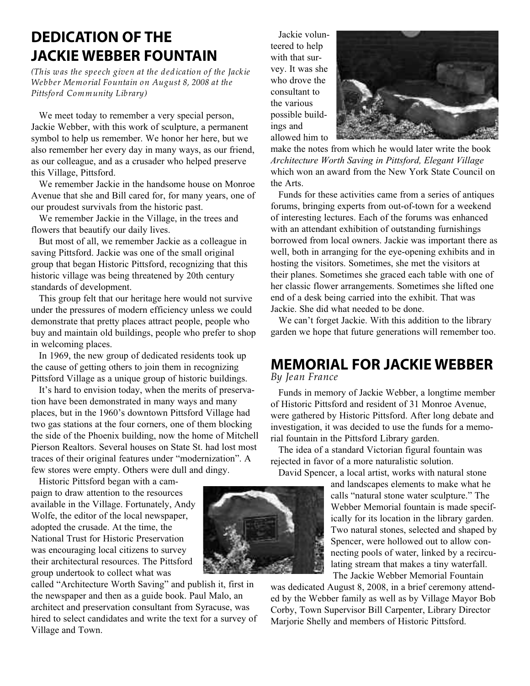# **DEDICATION OF THE JACKIE WEBBER FOUNTAIN**

*(This was the speech given at the dedication of the Jack ie Webber Memorial Fountain on August 8, 2008 at the Pittsford Community Library)*

We meet today to remember a very special person, Jackie Webber, with this work of sculpture, a permanent symbol to help us remember. We honor her here, but we also remember her every day in many ways, as our friend, as our colleague, and as a crusader who helped preserve this Village, Pittsford.

We remember Jackie in the handsome house on Monroe Avenue that she and Bill cared for, for many years, one of our proudest survivals from the historic past.

We remember Jackie in the Village, in the trees and flowers that beautify our daily lives.

But most of all, we remember Jackie as a colleague in saving Pittsford. Jackie was one of the small original group that began Historic Pittsford, recognizing that this historic village was being threatened by 20th century standards of development.

This group felt that our heritage here would not survive under the pressures of modern efficiency unless we could demonstrate that pretty places attract people, people who buy and maintain old buildings, people who prefer to shop in welcoming places.

In 1969, the new group of dedicated residents took up the cause of getting others to join them in recognizing Pittsford Village as a unique group of historic buildings.

It's hard to envision today, when the merits of preservation have been demonstrated in many ways and many places, but in the 1960's downtown Pittsford Village had two gas stations at the four corners, one of them blocking the side of the Phoenix building, now the home of Mitchell Pierson Realtors. Several houses on State St. had lost most traces of their original features under "modernization". A few stores were empty. Others were dull and dingy.

Historic Pittsford began with a campaign to draw attention to the resources available in the Village. Fortunately, Andy Wolfe, the editor of the local newspaper, adopted the crusade. At the time, the National Trust for Historic Preservation was encouraging local citizens to survey their architectural resources. The Pittsford group undertook to collect what was

called "Architecture Worth Saving" and publish it, first in the newspaper and then as a guide book. Paul Malo, an architect and preservation consultant from Syracuse, was hired to select candidates and write the text for a survey of Village and Town.

Jackie volunteered to help with that survey. It was she who drove the consultant to the various possible buildings and allowed him to



make the notes from which he would later write the book *Architecture Worth Saving in Pittsford, Elegant Village* which won an award from the New York State Council on the Arts.

Funds for these activities came from a series of antiques forums, bringing experts from out-of-town for a weekend of interesting lectures. Each of the forums was enhanced with an attendant exhibition of outstanding furnishings borrowed from local owners. Jackie was important there as well, both in arranging for the eye-opening exhibits and in hosting the visitors. Sometimes, she met the visitors at their planes. Sometimes she graced each table with one of her classic flower arrangements. Sometimes she lifted one end of a desk being carried into the exhibit. That was Jackie. She did what needed to be done.

We can't forget Jackie. With this addition to the library garden we hope that future generations will remember too.

# **MEMORIAL FOR JACKIE WEBBER**

*By Jean France*

Funds in memory of Jackie Webber, a longtime member of Historic Pittsford and resident of 31 Monroe Avenue, were gathered by Historic Pittsford. After long debate and investigation, it was decided to use the funds for a memorial fountain in the Pittsford Library garden.

The idea of a standard Victorian figural fountain was rejected in favor of a more naturalistic solution.

David Spencer, a local artist, works with natural stone

and landscapes elements to make what he calls "natural stone water sculpture." The Webber Memorial fountain is made specifically for its location in the library garden. Two natural stones, selected and shaped by Spencer, were hollowed out to allow connecting pools of water, linked by a recirculating stream that makes a tiny waterfall. The Jackie Webber Memorial Fountain

was dedicated August 8, 2008, in a brief ceremony attended by the Webber family as well as by Village Mayor Bob Corby, Town Supervisor Bill Carpenter, Library Director Marjorie Shelly and members of Historic Pittsford.

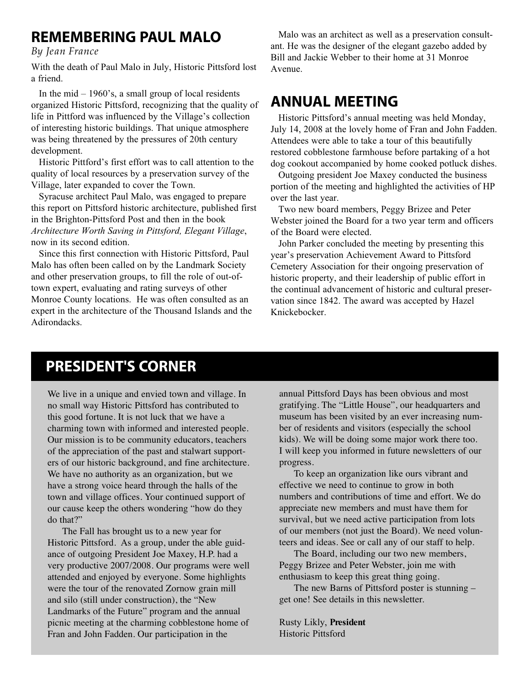### **REMEMBERING PAUL MALO**

*By Jean France*

With the death of Paul Malo in July, Historic Pittsford lost a friend.

In the mid  $-1960$ 's, a small group of local residents organized Historic Pittsford, recognizing that the quality of life in Pittford was influenced by the Village's collection of interesting historic buildings. That unique atmosphere was being threatened by the pressures of 20th century development.

Historic Pittford's first effort was to call attention to the quality of local resources by a preservation survey of the Village, later expanded to cover the Town.

Syracuse architect Paul Malo, was engaged to prepare this report on Pittsford historic architecture, published first in the Brighton-Pittsford Post and then in the book *Architecture Worth Saving in Pittsford, Elegant Village*, now in its second edition.

Since this first connection with Historic Pittsford, Paul Malo has often been called on by the Landmark Society and other preservation groups, to fill the role of out-oftown expert, evaluating and rating surveys of other Monroe County locations. He was often consulted as an expert in the architecture of the Thousand Islands and the Adirondacks.

Malo was an architect as well as a preservation consultant. He was the designer of the elegant gazebo added by Bill and Jackie Webber to their home at 31 Monroe Avenue.

### **ANNUAL MEETING**

Historic Pittsford's annual meeting was held Monday, July 14, 2008 at the lovely home of Fran and John Fadden. Attendees were able to take a tour of this beautifully restored cobblestone farmhouse before partaking of a hot dog cookout accompanied by home cooked potluck dishes.

Outgoing president Joe Maxey conducted the business portion of the meeting and highlighted the activities of HP over the last year.

Two new board members, Peggy Brizee and Peter Webster joined the Board for a two year term and officers of the Board were elected.

John Parker concluded the meeting by presenting this year's preservation Achievement Award to Pittsford Cemetery Association for their ongoing preservation of historic property, and their leadership of public effort in the continual advancement of historic and cultural preservation since 1842. The award was accepted by Hazel Knickebocker.

# **PRESIDENT'S CORNER**

We live in a unique and envied town and village. In no small way Historic Pittsford has contributed to this good fortune. It is not luck that we have a charming town with informed and interested people. Our mission is to be community educators, teachers of the appreciation of the past and stalwart supporters of our historic background, and fine architecture. We have no authority as an organization, but we have a strong voice heard through the halls of the town and village offices. Your continued support of our cause keep the others wondering "how do they do that?"

The Fall has brought us to a new year for Historic Pittsford. As a group, under the able guidance of outgoing President Joe Maxey, H.P. had a very productive 2007/2008. Our programs were well attended and enjoyed by everyone. Some highlights were the tour of the renovated Zornow grain mill and silo (still under construction), the "New Landmarks of the Future" program and the annual picnic meeting at the charming cobblestone home of Fran and John Fadden. Our participation in the

annual Pittsford Days has been obvious and most gratifying. The "Little House", our headquarters and museum has been visited by an ever increasing number of residents and visitors (especially the school kids). We will be doing some major work there too. I will keep you informed in future newsletters of our progress.

To keep an organization like ours vibrant and effective we need to continue to grow in both numbers and contributions of time and effort. We do appreciate new members and must have them for survival, but we need active participation from lots of our members (not just the Board). We need volunteers and ideas. See or call any of our staff to help.

The Board, including our two new members, Peggy Brizee and Peter Webster, join me with enthusiasm to keep this great thing going.

The new Barns of Pittsford poster is stunning – get one! See details in this newsletter.

Rusty Likly, **President** Historic Pittsford